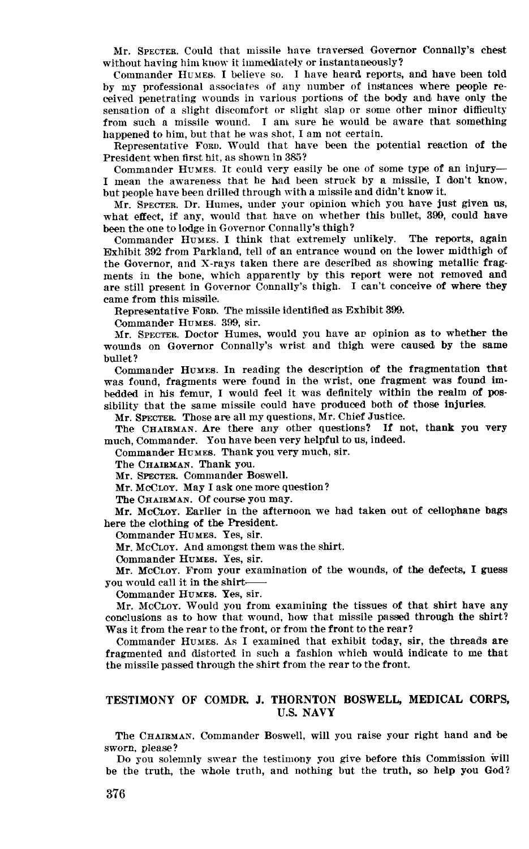Mr. SPECTER. Could that missile have traversed Governor Connally's chest without having him know it immediately or instantaneously?

Commander HUMES. I believe so. I have heard reports, and have been told by my professional associates of any number of instances where people received penetrating wounds in various portions of the body and have only the sensation of a slight discomfort or slight slap or some other minor difficulty from such a missile wound. I am sure he would be aware that something happened to him, but that he was shot, I am not certain.

Representative FORD. Would that have been the potential reaction of the President when first hit, as shown in 3&5?

Commander HUMES. It could very easily be one of some type of an injury-I mean the awareness that he bad been struck by a missile, I don't know, but people have been drilled through with a missile and didn't know it.

Mr. SPECTER. Dr. Humes, under your opinion which you have just given us, what effect, if any, would that have on whether this bullet, 399, could have been the one to lodge in Governor Connally's thigh?

Commander HUMES. I think that extremely unlikely. The reports, again Exhibit 392 from Parkland, tell of an entrance wound on the lower midthigh of the Governor, and X-rays taken there are described as showing metallic fragments in the bone, which apparently by this report were not removed and are still present in Governor Connally's thigh. I can't conceive of where they came from this missile.

Representative FORD. The missile identified as Exhibit 399.

Commander HUMES. 399, sir.

Mr. SPECTER. Doctor Humes, would you have an opinion as to whether the wounds on Governor Connally's wrist and thigh were caused by the same bullet?

Commander HUMES. In reading the description of the fragmentation that was found, fragments were found in the wrist, one fragment was found imbedded in his femur, I would feel it was definitely within the realm of possibility that the same missile could have produced both of those injuries.

Mr. SPECTER. Those are all my questions, Mr. Chief Justice.

The CHAIRMAN. Are there any other questions? If not, thank you very much, Commander. You have been very helpful to us, indeed.

Commander HUMEB. Thank you very much, sir.

The CHAIRMAN. Thank you.

Mr. SPECTER. Commander Boswell.

Mr. MCCLOY. May I ask one more question?

The CHAIRMAN. Of course you may.

Mr. McCLoy. Earlier in the afternoon we had taken out of cellophane bags here the clothing of the President.

Commander HUMES. Yes, sir.

Mr. McCLoy. And amongst them was the shirt.

Commander HUMEB. Yes, sir.

Mr. MCCLOY. From your examination of the wounds, of the defects, I guess you would call it in the shirt-

Commander HUMEE. Yes, sir.

Mr. MCCLOY. Would you from examining the tissues of that shirt have any conclusions as to how that wound, how that missile passed through the shirt? Was it from the rear to the front, or from the front to the rear?  $\omega$ s it from the train to the trone, or from the from  $\omega$  the text.

frommanted around the distorted interesting which was the fashion which was the fashion which was the method of fragmented and distorted in such a fashion which would indicate to me that the missile passed through the shirt from the rear to the front.

## TESTIMONY OF COMDR J. THORNTON BOSWELL, MEDICAL CORPS, U.S. NAVY

The CHAIRMAN. Commander Boswell, will you raise your right hand and ,be sworn, please? sworn, please?

be the truth, the whole truth, and nothing but the truth, so help you God?